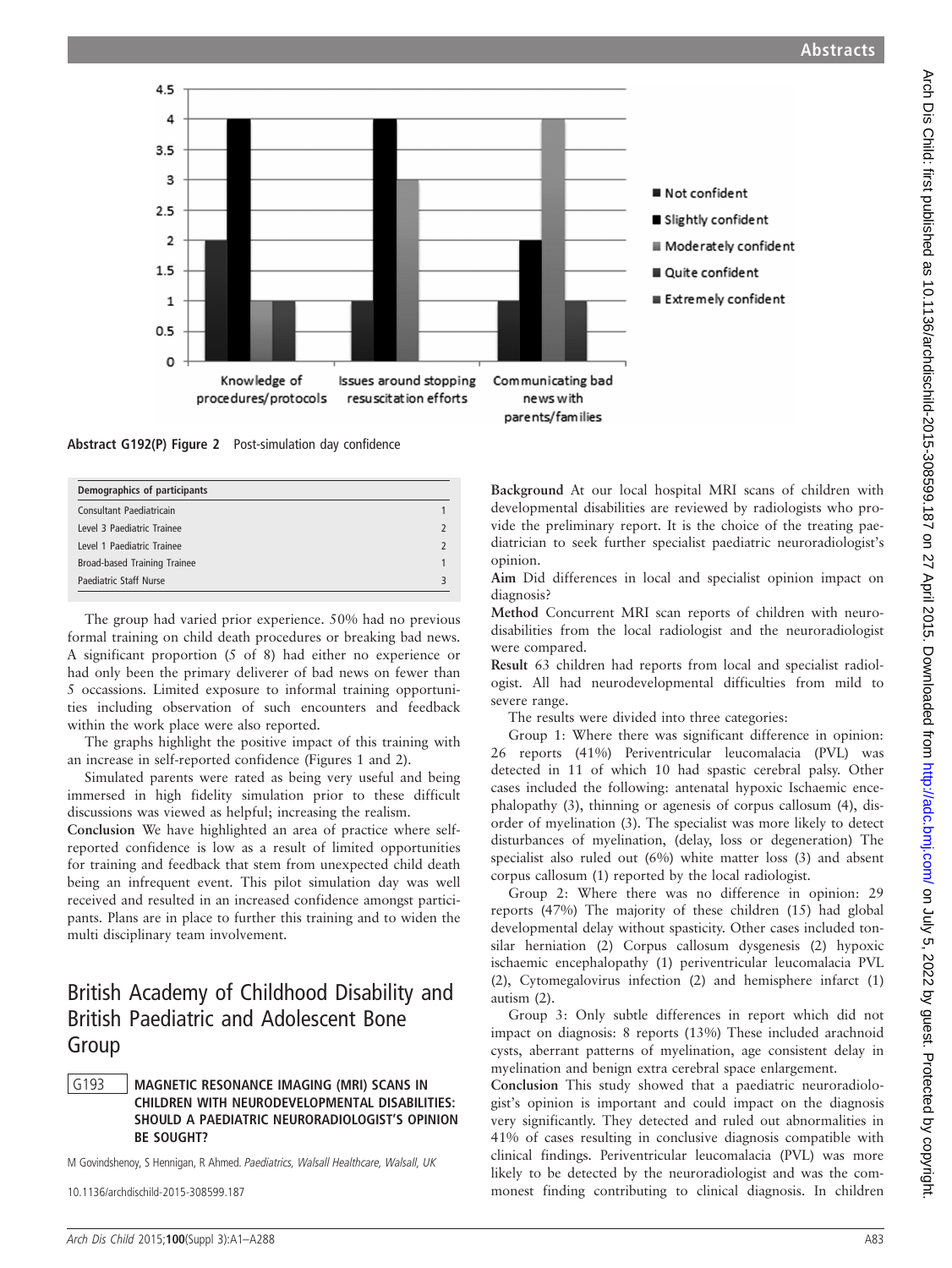

Abstract G192(P) Figure 2 Post-simulation day confidence

| Demographics of participants |                         |
|------------------------------|-------------------------|
| Consultant Paediatricain     |                         |
| Level 3 Paediatric Trainee   |                         |
| Level 1 Paediatric Trainee   |                         |
| Broad-based Training Trainee |                         |
| Paediatric Staff Nurse       | $\overline{\mathbf{z}}$ |

The group had varied prior experience. 50% had no previous formal training on child death procedures or breaking bad news. A significant proportion (5 of 8) had either no experience or had only been the primary deliverer of bad news on fewer than 5 occassions. Limited exposure to informal training opportunities including observation of such encounters and feedback within the work place were also reported.

The graphs highlight the positive impact of this training with an increase in self-reported confidence (Figures 1 and 2).

Simulated parents were rated as being very useful and being immersed in high fidelity simulation prior to these difficult discussions was viewed as helpful; increasing the realism.

Conclusion We have highlighted an area of practice where selfreported confidence is low as a result of limited opportunities for training and feedback that stem from unexpected child death being an infrequent event. This pilot simulation day was well received and resulted in an increased confidence amongst participants. Plans are in place to further this training and to widen the multi disciplinary team involvement.

# British Academy of Childhood Disability and British Paediatric and Adolescent Bone Group

## G193 | MAGNETIC RESONANCE IMAGING (MRI) SCANS IN CHILDREN WITH NEURODEVELOPMENTAL DISABILITIES: SHOULD A PAEDIATRIC NEURORADIOLOGIST'S OPINION BE SOUGHT?

M Govindshenoy, S Hennigan, R Ahmed. Paediatrics, Walsall Healthcare, Walsall, UK

10.1136/archdischild-2015-308599.187

Background At our local hospital MRI scans of children with developmental disabilities are reviewed by radiologists who provide the preliminary report. It is the choice of the treating paediatrician to seek further specialist paediatric neuroradiologist's opinion.

Aim Did differences in local and specialist opinion impact on diagnosis?

Method Concurrent MRI scan reports of children with neurodisabilities from the local radiologist and the neuroradiologist were compared.

Result 63 children had reports from local and specialist radiologist. All had neurodevelopmental difficulties from mild to severe range.

The results were divided into three categories:

Group 1: Where there was significant difference in opinion: 26 reports (41%) Periventricular leucomalacia (PVL) was detected in 11 of which 10 had spastic cerebral palsy. Other cases included the following: antenatal hypoxic Ischaemic encephalopathy (3), thinning or agenesis of corpus callosum (4), disorder of myelination (3). The specialist was more likely to detect disturbances of myelination, (delay, loss or degeneration) The specialist also ruled out (6%) white matter loss (3) and absent corpus callosum (1) reported by the local radiologist.

Group 2: Where there was no difference in opinion: 29 reports (47%) The majority of these children (15) had global developmental delay without spasticity. Other cases included tonsilar herniation (2) Corpus callosum dysgenesis (2) hypoxic ischaemic encephalopathy (1) periventricular leucomalacia PVL (2), Cytomegalovirus infection (2) and hemisphere infarct (1) autism (2).

Group 3: Only subtle differences in report which did not impact on diagnosis: 8 reports (13%) These included arachnoid cysts, aberrant patterns of myelination, age consistent delay in myelination and benign extra cerebral space enlargement.

Conclusion This study showed that a paediatric neuroradiologist's opinion is important and could impact on the diagnosis very significantly. They detected and ruled out abnormalities in 41% of cases resulting in conclusive diagnosis compatible with clinical findings. Periventricular leucomalacia (PVL) was more likely to be detected by the neuroradiologist and was the commonest finding contributing to clinical diagnosis. In children